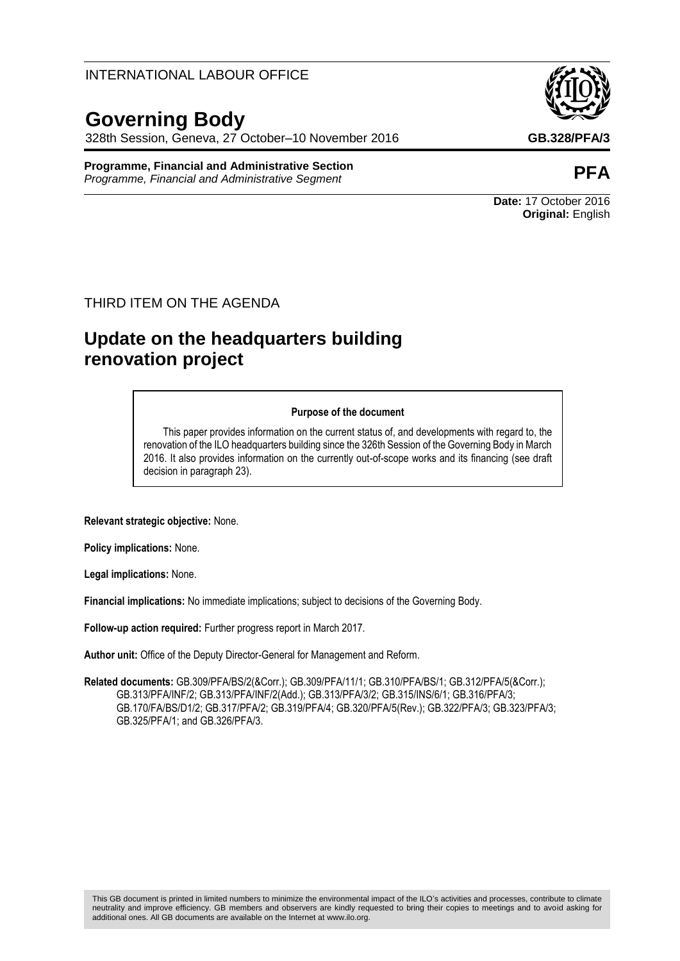## INTERNATIONAL LABOUR OFFICE

# **Governing Body**

328th Session, Geneva, 27 October–10 November 2016 **GB.328/PFA/3**

#### **Programme, Financial and Administrative Section Programme, Financial and Administrative Section**<br>Programme, Financial and Administrative Segment

### THIRD ITEM ON THE AGENDA

# **Update on the headquarters building renovation project**

#### **Purpose of the document**

This paper provides information on the current status of, and developments with regard to, the renovation of the ILO headquarters building since the 326th Session of the Governing Body in March 2016. It also provides information on the currently out-of-scope works and its financing (see draft decision in paragraph 23).

**Relevant strategic objective:** None.

**Policy implications:** None.

**Legal implications:** None.

**Financial implications:** No immediate implications; subject to decisions of the Governing Body.

**Follow-up action required:** Further progress report in March 2017.

**Author unit:** Office of the Deputy Director-General for Management and Reform.

**Related documents:** GB.309/PFA/BS/2(&Corr.); GB.309/PFA/11/1; GB.310/PFA/BS/1; GB.312/PFA/5(&Corr.); GB.313/PFA/INF/2; GB.313/PFA/INF/2(Add.); GB.313/PFA/3/2; GB.315/INS/6/1; GB.316/PFA/3; GB.170/FA/BS/D1/2; GB.317/PFA/2; GB.319/PFA/4; GB.320/PFA/5(Rev.); GB.322/PFA/3; GB.323/PFA/3; GB.325/PFA/1; and GB.326/PFA/3.



**Date:** 17 October 2016 **Original:** English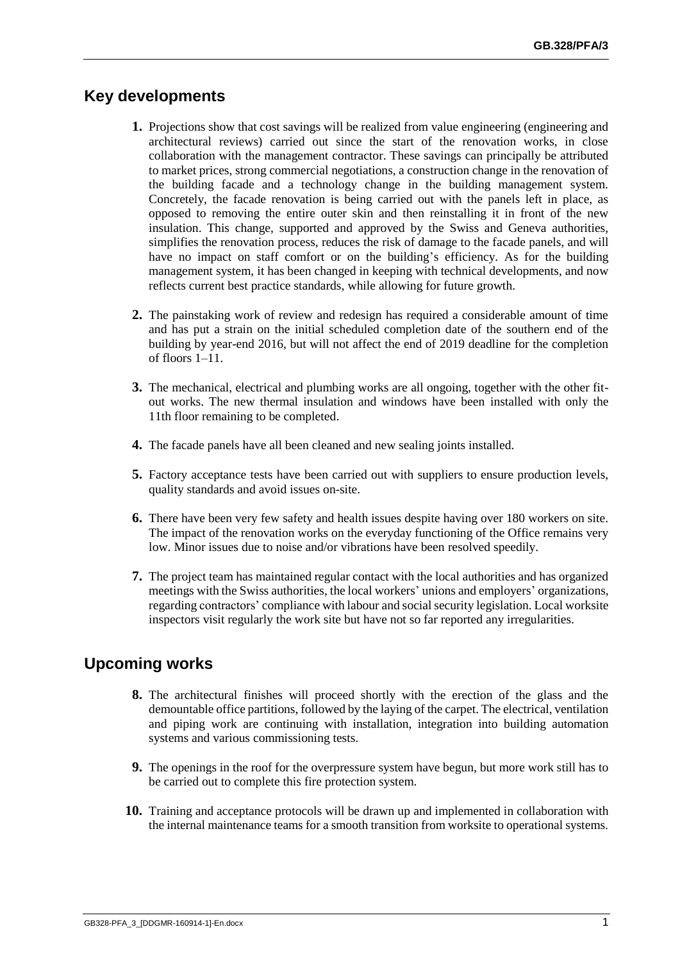## **Key developments**

- **1.** Projections show that cost savings will be realized from value engineering (engineering and architectural reviews) carried out since the start of the renovation works, in close collaboration with the management contractor. These savings can principally be attributed to market prices, strong commercial negotiations, a construction change in the renovation of the building facade and a technology change in the building management system. Concretely, the facade renovation is being carried out with the panels left in place, as opposed to removing the entire outer skin and then reinstalling it in front of the new insulation. This change, supported and approved by the Swiss and Geneva authorities, simplifies the renovation process, reduces the risk of damage to the facade panels, and will have no impact on staff comfort or on the building's efficiency. As for the building management system, it has been changed in keeping with technical developments, and now reflects current best practice standards, while allowing for future growth.
- **2.** The painstaking work of review and redesign has required a considerable amount of time and has put a strain on the initial scheduled completion date of the southern end of the building by year-end 2016, but will not affect the end of 2019 deadline for the completion of floors 1–11.
- **3.** The mechanical, electrical and plumbing works are all ongoing, together with the other fitout works. The new thermal insulation and windows have been installed with only the 11th floor remaining to be completed.
- **4.** The facade panels have all been cleaned and new sealing joints installed.
- **5.** Factory acceptance tests have been carried out with suppliers to ensure production levels, quality standards and avoid issues on-site.
- **6.** There have been very few safety and health issues despite having over 180 workers on site. The impact of the renovation works on the everyday functioning of the Office remains very low. Minor issues due to noise and/or vibrations have been resolved speedily.
- **7.** The project team has maintained regular contact with the local authorities and has organized meetings with the Swiss authorities, the local workers' unions and employers' organizations, regarding contractors' compliance with labour and social security legislation. Local worksite inspectors visit regularly the work site but have not so far reported any irregularities.

## **Upcoming works**

- **8.** The architectural finishes will proceed shortly with the erection of the glass and the demountable office partitions, followed by the laying of the carpet. The electrical, ventilation and piping work are continuing with installation, integration into building automation systems and various commissioning tests.
- **9.** The openings in the roof for the overpressure system have begun, but more work still has to be carried out to complete this fire protection system.
- **10.** Training and acceptance protocols will be drawn up and implemented in collaboration with the internal maintenance teams for a smooth transition from worksite to operational systems.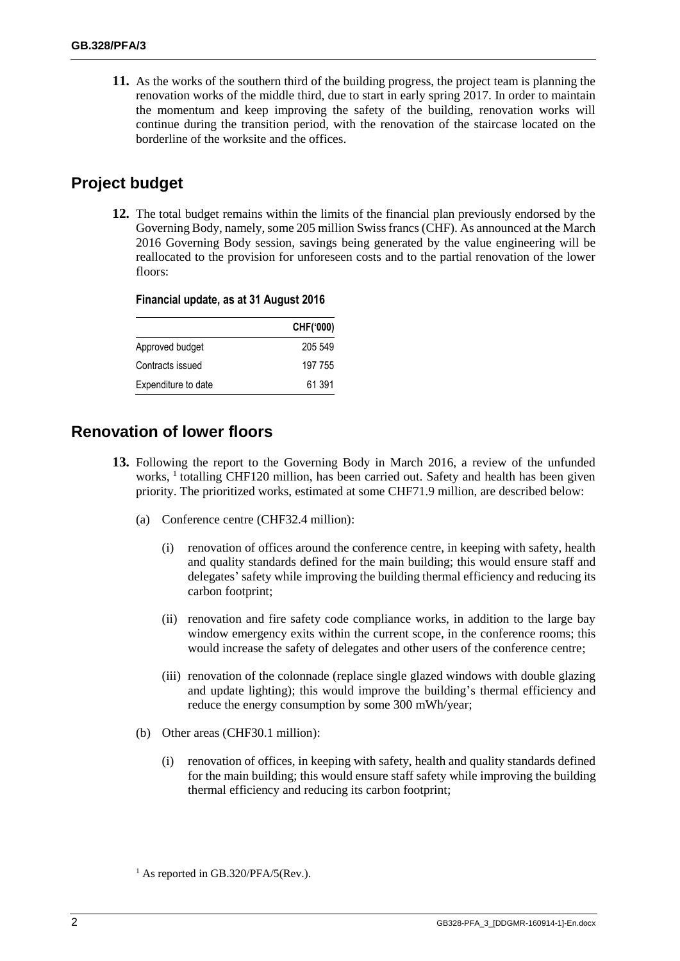**11.** As the works of the southern third of the building progress, the project team is planning the renovation works of the middle third, due to start in early spring 2017. In order to maintain the momentum and keep improving the safety of the building, renovation works will continue during the transition period, with the renovation of the staircase located on the borderline of the worksite and the offices.

# **Project budget**

**12.** The total budget remains within the limits of the financial plan previously endorsed by the Governing Body, namely, some 205 million Swiss francs (CHF). As announced at the March 2016 Governing Body session, savings being generated by the value engineering will be reallocated to the provision for unforeseen costs and to the partial renovation of the lower floors:

|                     | CHF('000) |
|---------------------|-----------|
| Approved budget     | 205 549   |
| Contracts issued    | 197 755   |
| Expenditure to date | 61 391    |

#### **Financial update, as at 31 August 2016**

# **Renovation of lower floors**

- **13.** Following the report to the Governing Body in March 2016, a review of the unfunded works, <sup>1</sup> totalling CHF120 million, has been carried out. Safety and health has been given priority. The prioritized works, estimated at some CHF71.9 million, are described below:
	- (a) Conference centre (CHF32.4 million):
		- (i) renovation of offices around the conference centre, in keeping with safety, health and quality standards defined for the main building; this would ensure staff and delegates' safety while improving the building thermal efficiency and reducing its carbon footprint;
		- (ii) renovation and fire safety code compliance works, in addition to the large bay window emergency exits within the current scope, in the conference rooms; this would increase the safety of delegates and other users of the conference centre;
		- (iii) renovation of the colonnade (replace single glazed windows with double glazing and update lighting); this would improve the building's thermal efficiency and reduce the energy consumption by some 300 mWh/year;
	- (b) Other areas (CHF30.1 million):
		- (i) renovation of offices, in keeping with safety, health and quality standards defined for the main building; this would ensure staff safety while improving the building thermal efficiency and reducing its carbon footprint;

 $<sup>1</sup>$  As reported in GB.320/PFA/5(Rev.).</sup>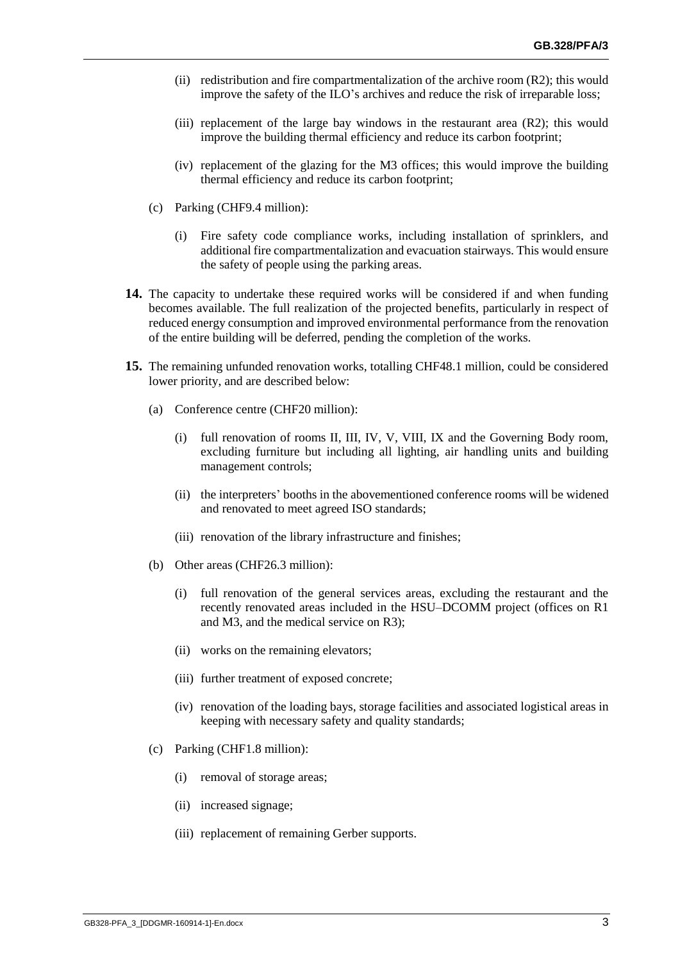- (ii) redistribution and fire compartmentalization of the archive room (R2); this would improve the safety of the ILO's archives and reduce the risk of irreparable loss;
- (iii) replacement of the large bay windows in the restaurant area  $(R2)$ ; this would improve the building thermal efficiency and reduce its carbon footprint;
- (iv) replacement of the glazing for the M3 offices; this would improve the building thermal efficiency and reduce its carbon footprint;
- (c) Parking (CHF9.4 million):
	- (i) Fire safety code compliance works, including installation of sprinklers, and additional fire compartmentalization and evacuation stairways. This would ensure the safety of people using the parking areas.
- **14.** The capacity to undertake these required works will be considered if and when funding becomes available. The full realization of the projected benefits, particularly in respect of reduced energy consumption and improved environmental performance from the renovation of the entire building will be deferred, pending the completion of the works.
- **15.** The remaining unfunded renovation works, totalling CHF48.1 million, could be considered lower priority, and are described below:
	- (a) Conference centre (CHF20 million):
		- (i) full renovation of rooms II, III, IV, V, VIII, IX and the Governing Body room, excluding furniture but including all lighting, air handling units and building management controls;
		- (ii) the interpreters' booths in the abovementioned conference rooms will be widened and renovated to meet agreed ISO standards;
		- (iii) renovation of the library infrastructure and finishes;
	- (b) Other areas (CHF26.3 million):
		- (i) full renovation of the general services areas, excluding the restaurant and the recently renovated areas included in the HSU–DCOMM project (offices on R1 and M3, and the medical service on R3);
		- (ii) works on the remaining elevators;
		- (iii) further treatment of exposed concrete;
		- (iv) renovation of the loading bays, storage facilities and associated logistical areas in keeping with necessary safety and quality standards;
	- (c) Parking (CHF1.8 million):
		- (i) removal of storage areas;
		- (ii) increased signage;
		- (iii) replacement of remaining Gerber supports.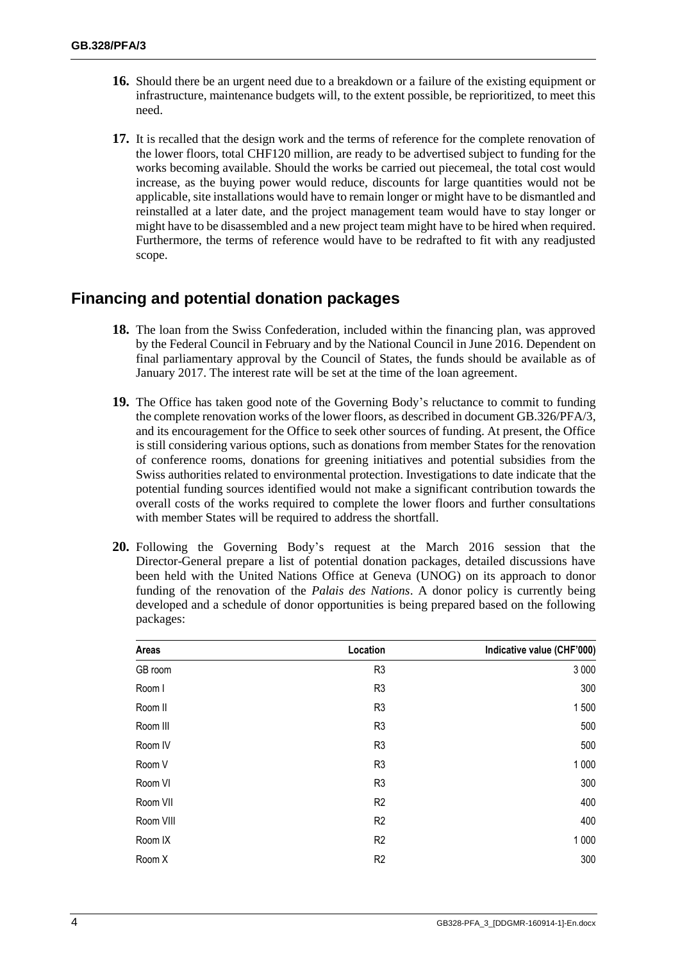- **16.** Should there be an urgent need due to a breakdown or a failure of the existing equipment or infrastructure, maintenance budgets will, to the extent possible, be reprioritized, to meet this need.
- **17.** It is recalled that the design work and the terms of reference for the complete renovation of the lower floors, total CHF120 million, are ready to be advertised subject to funding for the works becoming available. Should the works be carried out piecemeal, the total cost would increase, as the buying power would reduce, discounts for large quantities would not be applicable, site installations would have to remain longer or might have to be dismantled and reinstalled at a later date, and the project management team would have to stay longer or might have to be disassembled and a new project team might have to be hired when required. Furthermore, the terms of reference would have to be redrafted to fit with any readjusted scope.

# **Financing and potential donation packages**

- **18.** The loan from the Swiss Confederation, included within the financing plan, was approved by the Federal Council in February and by the National Council in June 2016. Dependent on final parliamentary approval by the Council of States, the funds should be available as of January 2017. The interest rate will be set at the time of the loan agreement.
- **19.** The Office has taken good note of the Governing Body's reluctance to commit to funding the complete renovation works of the lower floors, as described in document GB.326/PFA/3, and its encouragement for the Office to seek other sources of funding. At present, the Office is still considering various options, such as donations from member States for the renovation of conference rooms, donations for greening initiatives and potential subsidies from the Swiss authorities related to environmental protection. Investigations to date indicate that the potential funding sources identified would not make a significant contribution towards the overall costs of the works required to complete the lower floors and further consultations with member States will be required to address the shortfall.
- **20.** Following the Governing Body's request at the March 2016 session that the Director-General prepare a list of potential donation packages, detailed discussions have been held with the United Nations Office at Geneva (UNOG) on its approach to donor funding of the renovation of the *Palais des Nations*. A donor policy is currently being developed and a schedule of donor opportunities is being prepared based on the following packages:

| Areas     | Location       | Indicative value (CHF'000) |
|-----------|----------------|----------------------------|
| GB room   | R <sub>3</sub> | 3 0 0 0                    |
| Room I    | R <sub>3</sub> | 300                        |
| Room II   | R <sub>3</sub> | 1500                       |
| Room III  | R <sub>3</sub> | 500                        |
| Room IV   | R <sub>3</sub> | 500                        |
| Room V    | R <sub>3</sub> | 1 0 0 0                    |
| Room VI   | R <sub>3</sub> | 300                        |
| Room VII  | R <sub>2</sub> | 400                        |
| Room VIII | R <sub>2</sub> | 400                        |
| Room IX   | R <sub>2</sub> | 1 0 0 0                    |
| Room X    | R <sub>2</sub> | 300                        |